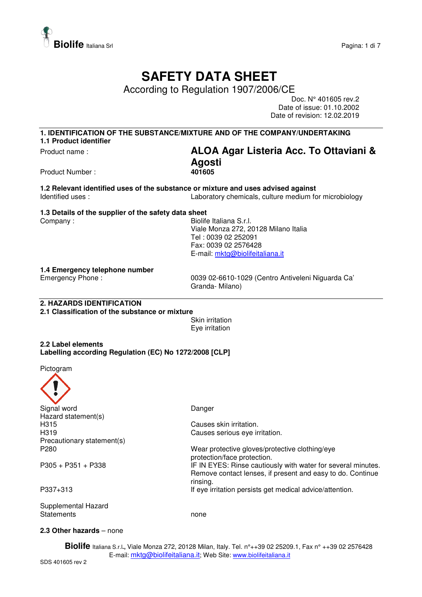

# **SAFETY DATA SHEET**

According to Regulation 1907/2006/CE

Doc. N° 401605 rev.2 Date of issue: 01.10.2002 Date of revision: 12.02.2019

**1. IDENTIFICATION OF THE SUBSTANCE/MIXTURE AND OF THE COMPANY/UNDERTAKING 1.1 Product identifier** 

# Product name : **ALOA Agar Listeria Acc. To Ottaviani & Agosti**

Product Number :

**1.2 Relevant identified uses of the substance or mixture and uses advised against**  Identified uses : Laboratory chemicals, culture medium for microbiology

**1.3 Details of the supplier of the safety data sheet** 

Company : **Biolife Italiana S.r.l.**  Viale Monza 272, 20128 Milano Italia Tel : 0039 02 252091 Fax: 0039 02 2576428 E-mail: mktg@biolifeitaliana.it

**1.4 Emergency telephone number** 

Emergency Phone : 0039 02-6610-1029 (Centro Antiveleni Niguarda Ca' Granda- Milano)

#### **2. HAZARDS IDENTIFICATION**

**2.1 Classification of the substance or mixture** 

Skin irritation Eye irritation

**2.2 Label elements Labelling according Regulation (EC) No 1272/2008 [CLP]** 

Pictogram



#### **2.3 Other hazards** – none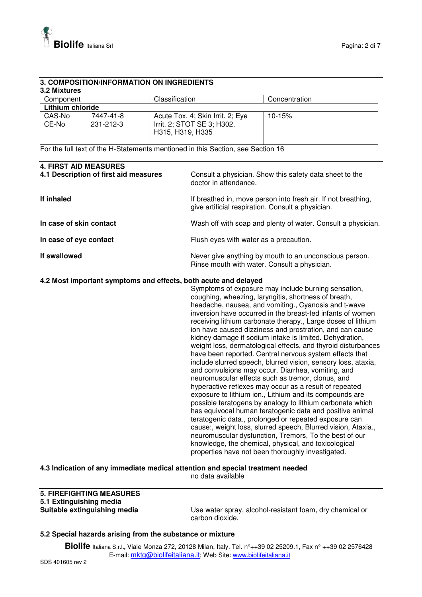

#### **3. COMPOSITION/INFORMATION ON INGREDIENTS 3.2 Mixtures**

| Component        |                        | Classification                                                                     | Concentration |  |  |
|------------------|------------------------|------------------------------------------------------------------------------------|---------------|--|--|
| Lithium chloride |                        |                                                                                    |               |  |  |
| CAS-No<br>CE-No  | 7447-41-8<br>231-212-3 | Acute Tox. 4; Skin Irrit. 2; Eye<br>Irrit. 2; STOT SE 3; H302,<br>H315, H319, H335 | $10 - 15%$    |  |  |

For the full text of the H-Statements mentioned in this Section, see Section 16

| <b>4. FIRST AID MEASURES</b><br>4.1 Description of first aid measures | Consult a physician. Show this safety data sheet to the<br>doctor in attendance.                                                                                                                                                                                                                                                                                                                                                                                                                                                                                                                                                                                                                                                                                                                                                                                                                                                                                                                                                                                                                                                                                                                                                                                                |
|-----------------------------------------------------------------------|---------------------------------------------------------------------------------------------------------------------------------------------------------------------------------------------------------------------------------------------------------------------------------------------------------------------------------------------------------------------------------------------------------------------------------------------------------------------------------------------------------------------------------------------------------------------------------------------------------------------------------------------------------------------------------------------------------------------------------------------------------------------------------------------------------------------------------------------------------------------------------------------------------------------------------------------------------------------------------------------------------------------------------------------------------------------------------------------------------------------------------------------------------------------------------------------------------------------------------------------------------------------------------|
| If inhaled                                                            | If breathed in, move person into fresh air. If not breathing,<br>give artificial respiration. Consult a physician.                                                                                                                                                                                                                                                                                                                                                                                                                                                                                                                                                                                                                                                                                                                                                                                                                                                                                                                                                                                                                                                                                                                                                              |
| In case of skin contact                                               | Wash off with soap and plenty of water. Consult a physician.                                                                                                                                                                                                                                                                                                                                                                                                                                                                                                                                                                                                                                                                                                                                                                                                                                                                                                                                                                                                                                                                                                                                                                                                                    |
| In case of eye contact                                                | Flush eyes with water as a precaution.                                                                                                                                                                                                                                                                                                                                                                                                                                                                                                                                                                                                                                                                                                                                                                                                                                                                                                                                                                                                                                                                                                                                                                                                                                          |
| If swallowed                                                          | Never give anything by mouth to an unconscious person.<br>Rinse mouth with water. Consult a physician.                                                                                                                                                                                                                                                                                                                                                                                                                                                                                                                                                                                                                                                                                                                                                                                                                                                                                                                                                                                                                                                                                                                                                                          |
| 4.2 Most important symptoms and effects, both acute and delayed       | Symptoms of exposure may include burning sensation,<br>coughing, wheezing, laryngitis, shortness of breath,<br>headache, nausea, and vomiting., Cyanosis and t-wave<br>inversion have occurred in the breast-fed infants of women<br>receiving lithium carbonate therapy., Large doses of lithium<br>ion have caused dizziness and prostration, and can cause<br>kidney damage if sodium intake is limited. Dehydration,<br>weight loss, dermatological effects, and thyroid disturbances<br>have been reported. Central nervous system effects that<br>include slurred speech, blurred vision, sensory loss, ataxia,<br>and convulsions may occur. Diarrhea, vomiting, and<br>neuromuscular effects such as tremor, clonus, and<br>hyperactive reflexes may occur as a result of repeated<br>exposure to lithium ion., Lithium and its compounds are<br>possible teratogens by analogy to lithium carbonate which<br>has equivocal human teratogenic data and positive animal<br>teratogenic data., prolonged or repeated exposure can<br>cause:, weight loss, slurred speech, Blurred vision, Ataxia.,<br>neuromuscular dysfunction, Tremors, To the best of our<br>knowledge, the chemical, physical, and toxicological<br>properties have not been thoroughly investigated. |

#### **4.3 Indication of any immediate medical attention and special treatment needed**

no data available

## **5. FIREFIGHTING MEASURES 5.1 Extinguishing media**

Use water spray, alcohol-resistant foam, dry chemical or carbon dioxide.

#### **5.2 Special hazards arising from the substance or mixture**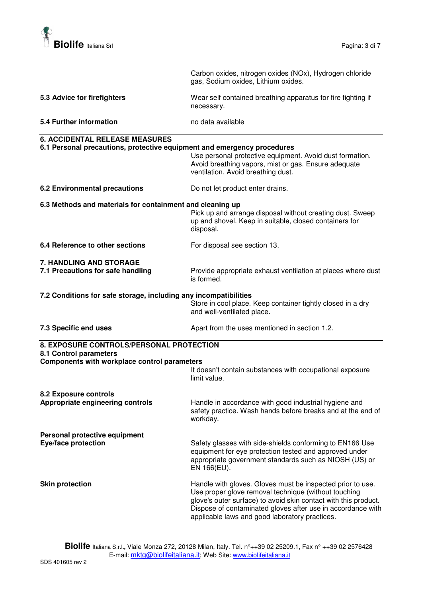

|                                                                         | Carbon oxides, nitrogen oxides (NOx), Hydrogen chloride<br>gas, Sodium oxides, Lithium oxides.                                                                                                                                                                                                         |
|-------------------------------------------------------------------------|--------------------------------------------------------------------------------------------------------------------------------------------------------------------------------------------------------------------------------------------------------------------------------------------------------|
| 5.3 Advice for firefighters                                             | Wear self contained breathing apparatus for fire fighting if<br>necessary.                                                                                                                                                                                                                             |
| 5.4 Further information                                                 | no data available                                                                                                                                                                                                                                                                                      |
| <b>6. ACCIDENTAL RELEASE MEASURES</b>                                   |                                                                                                                                                                                                                                                                                                        |
| 6.1 Personal precautions, protective equipment and emergency procedures | Use personal protective equipment. Avoid dust formation.<br>Avoid breathing vapors, mist or gas. Ensure adequate<br>ventilation. Avoid breathing dust.                                                                                                                                                 |
| <b>6.2 Environmental precautions</b>                                    | Do not let product enter drains.                                                                                                                                                                                                                                                                       |
| 6.3 Methods and materials for containment and cleaning up               |                                                                                                                                                                                                                                                                                                        |
|                                                                         | Pick up and arrange disposal without creating dust. Sweep<br>up and shovel. Keep in suitable, closed containers for<br>disposal.                                                                                                                                                                       |
| 6.4 Reference to other sections                                         | For disposal see section 13.                                                                                                                                                                                                                                                                           |
| 7. HANDLING AND STORAGE                                                 |                                                                                                                                                                                                                                                                                                        |
| 7.1 Precautions for safe handling                                       | Provide appropriate exhaust ventilation at places where dust<br>is formed.                                                                                                                                                                                                                             |
| 7.2 Conditions for safe storage, including any incompatibilities        |                                                                                                                                                                                                                                                                                                        |
|                                                                         | Store in cool place. Keep container tightly closed in a dry<br>and well-ventilated place.                                                                                                                                                                                                              |
| 7.3 Specific end uses                                                   | Apart from the uses mentioned in section 1.2.                                                                                                                                                                                                                                                          |
| 8. EXPOSURE CONTROLS/PERSONAL PROTECTION<br>8.1 Control parameters      |                                                                                                                                                                                                                                                                                                        |
| Components with workplace control parameters                            |                                                                                                                                                                                                                                                                                                        |
|                                                                         | It doesn't contain substances with occupational exposure<br>limit value.                                                                                                                                                                                                                               |
| 8.2 Exposure controls                                                   |                                                                                                                                                                                                                                                                                                        |
| Appropriate engineering controls                                        | Handle in accordance with good industrial hygiene and<br>safety practice. Wash hands before breaks and at the end of<br>workday.                                                                                                                                                                       |
| Personal protective equipment                                           |                                                                                                                                                                                                                                                                                                        |
| <b>Eye/face protection</b>                                              | Safety glasses with side-shields conforming to EN166 Use<br>equipment for eye protection tested and approved under<br>appropriate government standards such as NIOSH (US) or<br>EN 166(EU).                                                                                                            |
| <b>Skin protection</b>                                                  | Handle with gloves. Gloves must be inspected prior to use.<br>Use proper glove removal technique (without touching<br>glove's outer surface) to avoid skin contact with this product.<br>Dispose of contaminated gloves after use in accordance with<br>applicable laws and good laboratory practices. |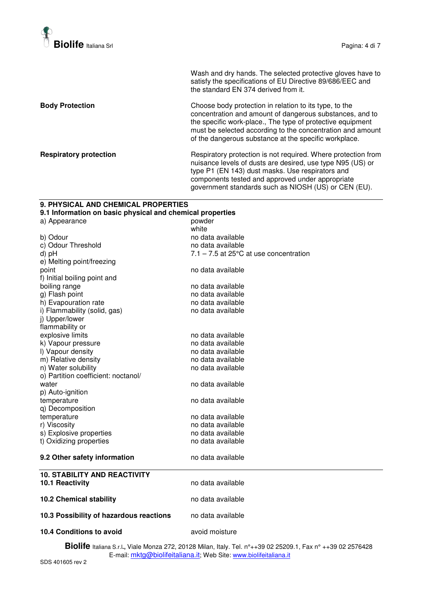

Wash and dry hands. The selected protective gloves have to satisfy the specifications of EU Directive 89/686/EEC and the standard EN 374 derived from it.

**Body Protection Body Protection Choose body protection in relation to its type, to the** concentration and amount of dangerous substances, and to the specific work-place., The type of protective equipment must be selected according to the concentration and amount of the dangerous substance at the specific workplace.

**Respiratory protection <b>Respiratory** Protection is not required. Where protection from nuisance levels of dusts are desired, use type N95 (US) or type P1 (EN 143) dust masks. Use respirators and components tested and approved under appropriate government standards such as NIOSH (US) or CEN (EU).

### **9. PHYSICAL AND CHEMICAL PROPERTIES 9.1 Information on basic physical and chemical properties**  a) Appearance powder<br>white white white white white white white  $\sim$ b) Odour<br>
c) Odour Threshold<br>
c) Odour Threshold<br>
c) Odour Threshold c) Odour Threshold d) pH  $7.1 - 7.5$  at 25 $^{\circ}$ C at use concentration e) Melting point/freezing point no data available f) Initial boiling point and boiling range no data available g) Flash point and the no data available h) Evapouration rate no metal no data available i) Flammability (solid, gas) no data available j) Upper/lower flammability or explosive limits<br>
k) Vapour pressure<br>
k) Vapour pressure k) Vapour pressure l) Vapour density<br>
m) Relative density<br>
m ata available<br>
m ata available m) Relative density no data available<br>
no Water solubility no data available n) Water solubility o) Partition coefficient: noctanol/ water **no data available** p) Auto-ignition temperature temperature no data available q) Decomposition no data available r) Viscosity no data available<br>s) Explosive properties example the modata available s) Explosive properties no data available<br>t) Oxidizing properties no data available t) Oxidizing properties **9.2 Other safety information** no data available **10. STABILITY AND REACTIVITY 10.1 Reactivity 10.1 Reactivity no data available 10.2 Chemical stability** no data available **10.3 Possibility of hazardous reactions** no data available **10.4 Conditions to avoid <b>a** avoid moisture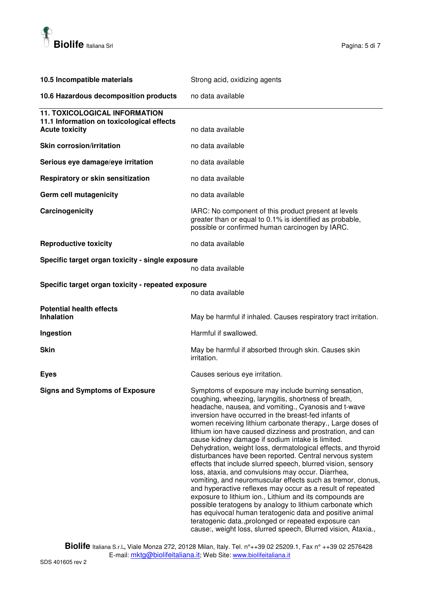

| 10.5 Incompatible materials                                                                                | Strong acid, oxidizing agents                                                                                                                                                                                                                                                                                                                                                                                                                                                                                                                                                                                                                                                                                                                                                                                                                                                                                                                                                                                                                                                                            |
|------------------------------------------------------------------------------------------------------------|----------------------------------------------------------------------------------------------------------------------------------------------------------------------------------------------------------------------------------------------------------------------------------------------------------------------------------------------------------------------------------------------------------------------------------------------------------------------------------------------------------------------------------------------------------------------------------------------------------------------------------------------------------------------------------------------------------------------------------------------------------------------------------------------------------------------------------------------------------------------------------------------------------------------------------------------------------------------------------------------------------------------------------------------------------------------------------------------------------|
| 10.6 Hazardous decomposition products                                                                      | no data available                                                                                                                                                                                                                                                                                                                                                                                                                                                                                                                                                                                                                                                                                                                                                                                                                                                                                                                                                                                                                                                                                        |
| <b>11. TOXICOLOGICAL INFORMATION</b><br>11.1 Information on toxicological effects<br><b>Acute toxicity</b> | no data available                                                                                                                                                                                                                                                                                                                                                                                                                                                                                                                                                                                                                                                                                                                                                                                                                                                                                                                                                                                                                                                                                        |
| <b>Skin corrosion/irritation</b>                                                                           | no data available                                                                                                                                                                                                                                                                                                                                                                                                                                                                                                                                                                                                                                                                                                                                                                                                                                                                                                                                                                                                                                                                                        |
|                                                                                                            |                                                                                                                                                                                                                                                                                                                                                                                                                                                                                                                                                                                                                                                                                                                                                                                                                                                                                                                                                                                                                                                                                                          |
| Serious eye damage/eye irritation                                                                          | no data available                                                                                                                                                                                                                                                                                                                                                                                                                                                                                                                                                                                                                                                                                                                                                                                                                                                                                                                                                                                                                                                                                        |
| Respiratory or skin sensitization                                                                          | no data available                                                                                                                                                                                                                                                                                                                                                                                                                                                                                                                                                                                                                                                                                                                                                                                                                                                                                                                                                                                                                                                                                        |
| Germ cell mutagenicity                                                                                     | no data available                                                                                                                                                                                                                                                                                                                                                                                                                                                                                                                                                                                                                                                                                                                                                                                                                                                                                                                                                                                                                                                                                        |
| Carcinogenicity                                                                                            | IARC: No component of this product present at levels<br>greater than or equal to 0.1% is identified as probable,<br>possible or confirmed human carcinogen by IARC.                                                                                                                                                                                                                                                                                                                                                                                                                                                                                                                                                                                                                                                                                                                                                                                                                                                                                                                                      |
| <b>Reproductive toxicity</b>                                                                               | no data available                                                                                                                                                                                                                                                                                                                                                                                                                                                                                                                                                                                                                                                                                                                                                                                                                                                                                                                                                                                                                                                                                        |
| Specific target organ toxicity - single exposure                                                           | no data available                                                                                                                                                                                                                                                                                                                                                                                                                                                                                                                                                                                                                                                                                                                                                                                                                                                                                                                                                                                                                                                                                        |
| Specific target organ toxicity - repeated exposure                                                         | no data available                                                                                                                                                                                                                                                                                                                                                                                                                                                                                                                                                                                                                                                                                                                                                                                                                                                                                                                                                                                                                                                                                        |
| <b>Potential health effects</b><br><b>Inhalation</b>                                                       | May be harmful if inhaled. Causes respiratory tract irritation.                                                                                                                                                                                                                                                                                                                                                                                                                                                                                                                                                                                                                                                                                                                                                                                                                                                                                                                                                                                                                                          |
| Ingestion                                                                                                  | Harmful if swallowed.                                                                                                                                                                                                                                                                                                                                                                                                                                                                                                                                                                                                                                                                                                                                                                                                                                                                                                                                                                                                                                                                                    |
| <b>Skin</b>                                                                                                | May be harmful if absorbed through skin. Causes skin<br>irritation.                                                                                                                                                                                                                                                                                                                                                                                                                                                                                                                                                                                                                                                                                                                                                                                                                                                                                                                                                                                                                                      |
| <b>Eyes</b>                                                                                                | Causes serious eye irritation.                                                                                                                                                                                                                                                                                                                                                                                                                                                                                                                                                                                                                                                                                                                                                                                                                                                                                                                                                                                                                                                                           |
| <b>Signs and Symptoms of Exposure</b>                                                                      | Symptoms of exposure may include burning sensation,<br>coughing, wheezing, laryngitis, shortness of breath,<br>headache, nausea, and vomiting., Cyanosis and t-wave<br>inversion have occurred in the breast-fed infants of<br>women receiving lithium carbonate therapy., Large doses of<br>lithium ion have caused dizziness and prostration, and can<br>cause kidney damage if sodium intake is limited.<br>Dehydration, weight loss, dermatological effects, and thyroid<br>disturbances have been reported. Central nervous system<br>effects that include slurred speech, blurred vision, sensory<br>loss, ataxia, and convulsions may occur. Diarrhea,<br>vomiting, and neuromuscular effects such as tremor, clonus,<br>and hyperactive reflexes may occur as a result of repeated<br>exposure to lithium ion., Lithium and its compounds are<br>possible teratogens by analogy to lithium carbonate which<br>has equivocal human teratogenic data and positive animal<br>teratogenic data., prolonged or repeated exposure can<br>cause:, weight loss, slurred speech, Blurred vision, Ataxia., |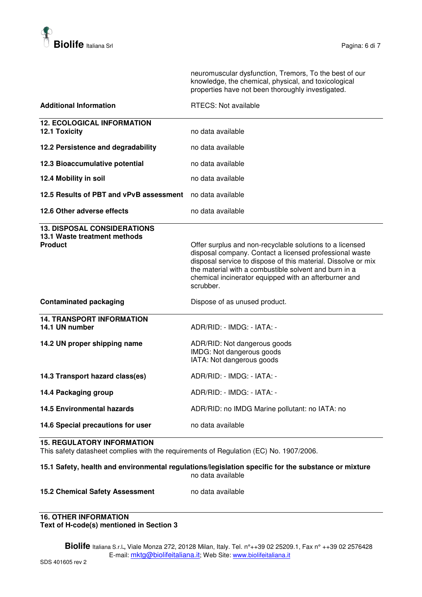

neuromuscular dysfunction, Tremors, To the best of our knowledge, the chemical, physical, and toxicological properties have not been thoroughly investigated.

| <b>Additional Information</b>                                                        | <b>RTECS: Not available</b>                                                                                                                                                                                                                                                                                         |  |
|--------------------------------------------------------------------------------------|---------------------------------------------------------------------------------------------------------------------------------------------------------------------------------------------------------------------------------------------------------------------------------------------------------------------|--|
| <b>12. ECOLOGICAL INFORMATION</b><br>12.1 Toxicity                                   | no data available                                                                                                                                                                                                                                                                                                   |  |
| 12.2 Persistence and degradability                                                   | no data available                                                                                                                                                                                                                                                                                                   |  |
| 12.3 Bioaccumulative potential                                                       | no data available                                                                                                                                                                                                                                                                                                   |  |
| 12.4 Mobility in soil                                                                | no data available<br>no data available                                                                                                                                                                                                                                                                              |  |
| 12.5 Results of PBT and vPvB assessment                                              |                                                                                                                                                                                                                                                                                                                     |  |
| 12.6 Other adverse effects                                                           | no data available                                                                                                                                                                                                                                                                                                   |  |
| <b>13. DISPOSAL CONSIDERATIONS</b><br>13.1 Waste treatment methods<br><b>Product</b> | Offer surplus and non-recyclable solutions to a licensed<br>disposal company. Contact a licensed professional waste<br>disposal service to dispose of this material. Dissolve or mix<br>the material with a combustible solvent and burn in a<br>chemical incinerator equipped with an afterburner and<br>scrubber. |  |
| <b>Contaminated packaging</b>                                                        | Dispose of as unused product.                                                                                                                                                                                                                                                                                       |  |
| <b>14. TRANSPORT INFORMATION</b><br>14.1 UN number                                   | ADR/RID: - IMDG: - IATA: -                                                                                                                                                                                                                                                                                          |  |
| 14.2 UN proper shipping name                                                         | ADR/RID: Not dangerous goods<br>IMDG: Not dangerous goods<br>IATA: Not dangerous goods                                                                                                                                                                                                                              |  |
| 14.3 Transport hazard class(es)                                                      | ADR/RID: - IMDG: - IATA: -                                                                                                                                                                                                                                                                                          |  |
| 14.4 Packaging group                                                                 | ADR/RID: - IMDG: - IATA: -                                                                                                                                                                                                                                                                                          |  |
| <b>14.5 Environmental hazards</b>                                                    | ADR/RID: no IMDG Marine pollutant: no IATA: no                                                                                                                                                                                                                                                                      |  |
| 14.6 Special precautions for user                                                    | no data available                                                                                                                                                                                                                                                                                                   |  |

#### **15. REGULATORY INFORMATION**

This safety datasheet complies with the requirements of Regulation (EC) No. 1907/2006.

### **15.1 Safety, health and environmental regulations/legislation specific for the substance or mixture**  no data available

#### **15.2 Chemical Safety Assessment** no data available

#### **16. OTHER INFORMATION Text of H-code(s) mentioned in Section 3**